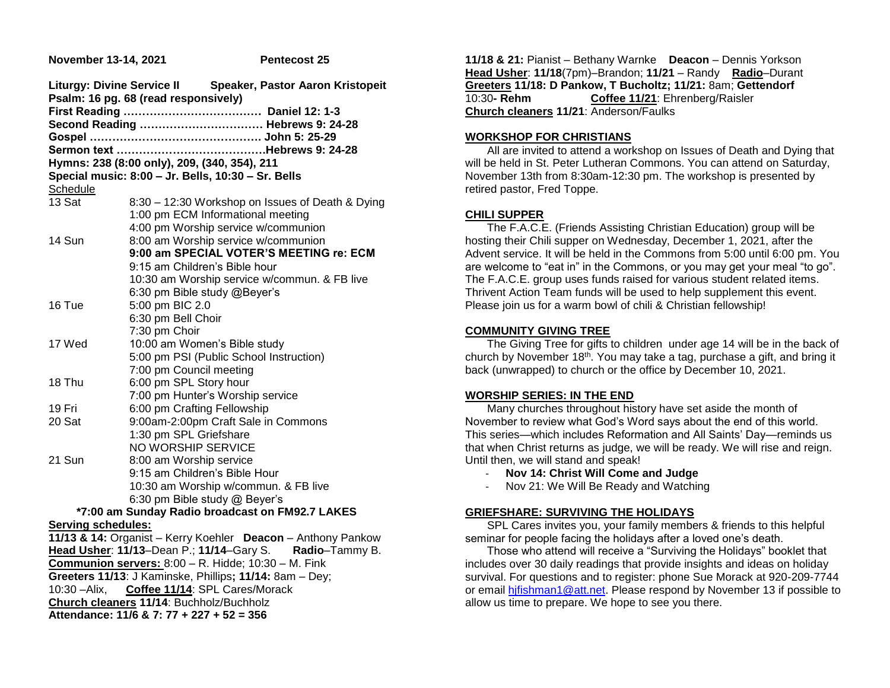# **November 13-14, 2021 Pentecost 25 Liturgy: Divine Service II Speaker, Pastor Aaron Kristopeit Psalm: 16 pg. 68 (read responsively) First Reading ………………………………. Daniel 12: 1-3 Second Reading …………………………… Hebrews 9: 24-28 Gospel ………………………………………. John 5: 25-29 Sermon text ………………………………….Hebrews 9: 24-28 Hymns: 238 (8:00 only), 209, (340, 354), 211 Special music: 8:00 – Jr. Bells, 10:30 – Sr. Bells** Schedule 13 Sat 8:30 – 12:30 Workshop on Issues of Death & Dying 1:00 pm ECM Informational meeting 4:00 pm Worship service w/communion 14 Sun 8:00 am Worship service w/communion 9:15 am Children's Bible hour 6:30 pm Bible study @Beyer's

|        | 9:00 am SPECIAL VOTER'S MEETING re: ECM      |
|--------|----------------------------------------------|
|        | 9:15 am Children's Bible hour                |
|        | 10:30 am Worship service w/commun. & FB live |
|        | 6:30 pm Bible study @Beyer's                 |
| 16 Tue | 5:00 pm BIC 2.0                              |
|        | 6:30 pm Bell Choir                           |
|        | 7:30 pm Choir                                |
| 17 Wed | 10:00 am Women's Bible study                 |
|        | 5:00 pm PSI (Public School Instruction)      |
|        | 7:00 pm Council meeting                      |
| 18 Thu | 6:00 pm SPL Story hour                       |
|        | 7:00 pm Hunter's Worship service             |
| 19 Fri | 6:00 pm Crafting Fellowship                  |
| 20 Sat | 9:00am-2:00pm Craft Sale in Commons          |
|        | 1:30 pm SPL Griefshare                       |
|        | <b>NO WORSHIP SERVICE</b>                    |
| 21 Sun | 8:00 am Worship service                      |
|        | 9:15 am Children's Bible Hour                |
|        | 10:30 am Worship w/commun. & FB live         |

#### **\*7:00 am Sunday Radio broadcast on FM92.7 LAKES Serving schedules:**

**11/13 & 14:** Organist – Kerry Koehler **Deacon** – Anthony Pankow **Head Usher**: **11/13**–Dean P.; **11/14**–Gary S. **Radio**–Tammy B. **Communion servers:** 8:00 – R. Hidde; 10:30 – M. Fink **Greeters 11/13**: J Kaminske, Phillips**; 11/14:** 8am – Dey; 10:30 –Alix, **Coffee 11/14**: SPL Cares/Morack **Church cleaners 11/14**: Buchholz/Buchholz **Attendance: 11/6 & 7: 77 + 227 + 52 = 356**

6:30 pm Bible study @ Beyer's

**11/18 & 21:** Pianist – Bethany Warnke **Deacon** – Dennis Yorkson **Head Usher**: **11/18**(7pm)–Brandon; **11/21** – Randy **Radio**–Durant **Greeters 11/18: D Pankow, T Bucholtz; 11/21:** 8am; **Gettendorf** 10:30**- Rehm Coffee 11/21**: Ehrenberg/Raisler **Church cleaners 11/21**: Anderson/Faulks

#### **WORKSHOP FOR CHRISTIANS**

 All are invited to attend a workshop on Issues of Death and Dying that will be held in St. Peter Lutheran Commons. You can attend on Saturday, November 13th from 8:30am-12:30 pm. The workshop is presented by retired pastor, Fred Toppe.

# **CHILI SUPPER**

 The F.A.C.E. (Friends Assisting Christian Education) group will be hosting their Chili supper on Wednesday, December 1, 2021, after the Advent service. It will be held in the Commons from 5:00 until 6:00 pm. You are welcome to "eat in" in the Commons, or you may get your meal "to go". The F.A.C.E. group uses funds raised for various student related items. Thrivent Action Team funds will be used to help supplement this event. Please join us for a warm bowl of chili & Christian fellowship!

# **COMMUNITY GIVING TREE**

 The Giving Tree for gifts to children under age 14 will be in the back of church by November 18th. You may take a tag, purchase a gift, and bring it back (unwrapped) to church or the office by December 10, 2021.

# **WORSHIP SERIES: IN THE END**

 Many churches throughout history have set aside the month of November to review what God's Word says about the end of this world. This series—which includes Reformation and All Saints' Day—reminds us that when Christ returns as judge, we will be ready. We will rise and reign. Until then, we will stand and speak!

- **Nov 14: Christ Will Come and Judge**
- Nov 21: We Will Be Ready and Watching

# **GRIEFSHARE: SURVIVING THE HOLIDAYS**

 SPL Cares invites you, your family members & friends to this helpful seminar for people facing the holidays after a loved one's death.

 Those who attend will receive a "Surviving the Holidays" booklet that includes over 30 daily readings that provide insights and ideas on holiday survival. For questions and to register: phone Sue Morack at 920-209-7744 or email [hjfishman1@att.net.](mailto:hjfishman1@att.net) Please respond by November 13 if possible to allow us time to prepare. We hope to see you there.